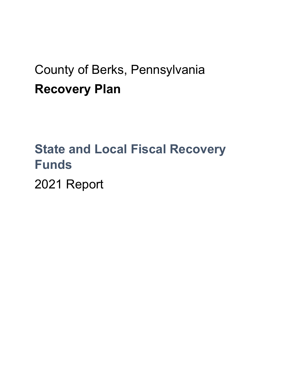## County of Berks, Pennsylvania **Recovery Plan**

# **State and Local Fiscal Recovery Funds**

2021 Report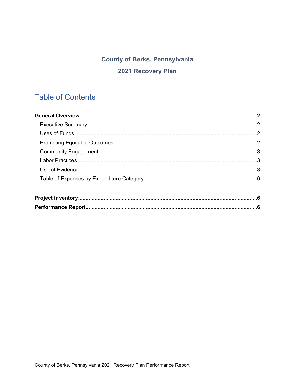## **County of Berks, Pennsylvania** 2021 Recovery Plan

## **Table of Contents**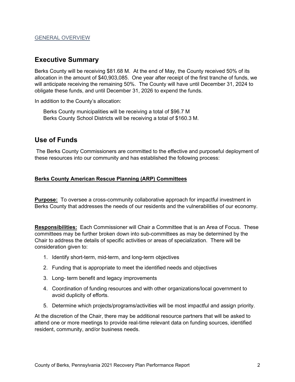#### **Executive Summary**

Berks County will be receiving \$81.68 M. At the end of May, the County received 50% of its allocation in the amount of \$40,903,085. One year after receipt of the first tranche of funds, we will anticipate receiving the remaining 50%. The County will have until December 31, 2024 to obligate these funds, and until December 31, 2026 to expend the funds.

In addition to the County's allocation:

Berks County municipalities will be receiving a total of \$96.7 M Berks County School Districts will be receiving a total of \$160.3 M.

#### **Use of Funds**

The Berks County Commissioners are committed to the effective and purposeful deployment of these resources into our community and has established the following process:

#### **Berks County American Rescue Planning (ARP) Committees**

**Purpose:** To oversee a cross-community collaborative approach for impactful investment in Berks County that addresses the needs of our residents and the vulnerabilities of our economy.

**Responsibilities:** Each Commissioner will Chair a Committee that is an Area of Focus. These committees may be further broken down into sub-committees as may be determined by the Chair to address the details of specific activities or areas of specialization. There will be consideration given to:

- 1. Identify short-term, mid-term, and long-term objectives
- 2. Funding that is appropriate to meet the identified needs and objectives
- 3. Long- term benefit and legacy improvements
- 4. Coordination of funding resources and with other organizations/local government to avoid duplicity of efforts.
- 5. Determine which projects/programs/activities will be most impactful and assign priority.

At the discretion of the Chair, there may be additional resource partners that will be asked to attend one or more meetings to provide real-time relevant data on funding sources, identified resident, community, and/or business needs.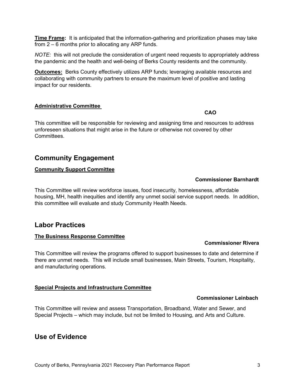**Time Frame:** It is anticipated that the information-gathering and prioritization phases may take from 2 – 6 months prior to allocating any ARP funds.

*NOTE:* this will not preclude the consideration of urgent need requests to appropriately address the pandemic and the health and well-being of Berks County residents and the community.

**Outcomes:** Berks County effectively utilizes ARP funds; leveraging available resources and collaborating with community partners to ensure the maximum level of positive and lasting impact for our residents.

#### **Administrative Committee**

**CAO**

This committee will be responsible for reviewing and assigning time and resources to address unforeseen situations that might arise in the future or otherwise not covered by other **Committees** 

#### **Community Engagement**

#### **Community Support Committee**

#### **Commissioner Barnhardt**

This Committee will review workforce issues, food insecurity, homelessness, affordable housing, MH, health inequities and identify any unmet social service support needs. In addition, this committee will evaluate and study Community Health Needs.

#### **Labor Practices**

#### **The Business Response Committee**

#### **Commissioner Rivera**

This Committee will review the programs offered to support businesses to date and determine if there are unmet needs. This will include small businesses, Main Streets, Tourism, Hospitality, and manufacturing operations.

#### **Special Projects and Infrastructure Committee**

#### **Commissioner Leinbach**

This Committee will review and assess Transportation, Broadband, Water and Sewer, and Special Projects – which may include, but not be limited to Housing, and Arts and Culture.

#### **Use of Evidence**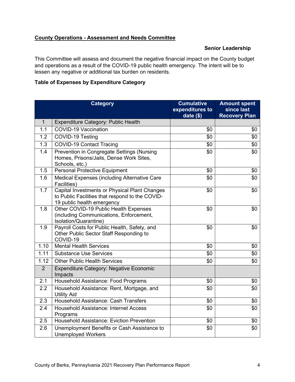#### **County Operations - Assessment and Needs Committee**

#### **Senior Leadership**

This Committee will assess and document the negative financial impact on the County budget and operations as a result of the COVID-19 public health emergency. The intent will be to lessen any negative or additional tax burden on residents.

#### **Table of Expenses by Expenditure Category**

|              | <b>Category</b>                                                                                                                | <b>Cumulative</b><br>expenditures to<br>date $(\$)$ | <b>Amount spent</b><br>since last<br><b>Recovery Plan</b> |
|--------------|--------------------------------------------------------------------------------------------------------------------------------|-----------------------------------------------------|-----------------------------------------------------------|
| $\mathbf{1}$ | <b>Expenditure Category: Public Health</b>                                                                                     |                                                     |                                                           |
| 1.1          | <b>COVID-19 Vaccination</b>                                                                                                    | \$0                                                 | \$0                                                       |
| 1.2          | COVID-19 Testing                                                                                                               | \$0                                                 | \$0                                                       |
| 1.3          | <b>COVID-19 Contact Tracing</b>                                                                                                | \$0                                                 | \$0                                                       |
| 1.4          | <b>Prevention in Congregate Settings (Nursing</b><br>Homes, Prisons/Jails, Dense Work Sites,<br>Schools, etc.)                 | \$0                                                 | \$0                                                       |
| 1.5          | <b>Personal Protective Equipment</b>                                                                                           | \$0                                                 | \$0                                                       |
| 1.6          | Medical Expenses (including Alternative Care<br>Facilities)                                                                    | \$0                                                 | \$0                                                       |
| 1.7          | Capital Investments or Physical Plant Changes<br>to Public Facilities that respond to the COVID-<br>19 public health emergency | \$0                                                 | \$0                                                       |
| 1.8          | Other COVID-19 Public Health Expenses<br>(including Communications, Enforcement,<br>Isolation/Quarantine)                      | \$0                                                 | \$0                                                       |
| 1.9          | Payroll Costs for Public Health, Safety, and<br>Other Public Sector Staff Responding to<br>COVID-19                            | \$0                                                 | \$0                                                       |
| 1.10         | <b>Mental Health Services</b>                                                                                                  | \$0                                                 | \$0                                                       |
| 1.11         | <b>Substance Use Services</b>                                                                                                  | \$0                                                 | \$0                                                       |
| 1.12         | <b>Other Public Health Services</b>                                                                                            | \$0                                                 | \$0                                                       |
| 2            | <b>Expenditure Category: Negative Economic</b><br>Impacts                                                                      |                                                     |                                                           |
| 2.1          | Household Assistance: Food Programs                                                                                            | \$0                                                 | \$0                                                       |
| 2.2          | Household Assistance: Rent, Mortgage, and<br><b>Utility Aid</b>                                                                | \$0                                                 | \$0                                                       |
| 2.3          | Household Assistance: Cash Transfers                                                                                           | \$0                                                 | \$0                                                       |
| 2.4          | <b>Household Assistance: Internet Access</b><br>Programs                                                                       | \$0                                                 | \$0                                                       |
| 2.5          | <b>Household Assistance: Eviction Prevention</b>                                                                               | \$0                                                 | \$0                                                       |
| 2.6          | Unemployment Benefits or Cash Assistance to<br><b>Unemployed Workers</b>                                                       | \$0                                                 | \$0                                                       |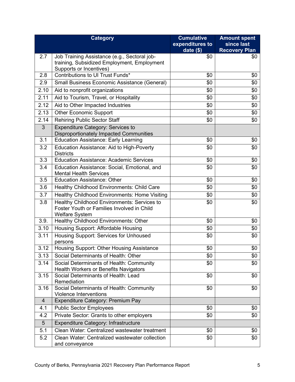|                | <b>Category</b>                                                                                                           | <b>Cumulative</b> | <b>Amount spent</b>  |
|----------------|---------------------------------------------------------------------------------------------------------------------------|-------------------|----------------------|
|                |                                                                                                                           | expenditures to   | since last           |
|                |                                                                                                                           | date $(\$)$       | <b>Recovery Plan</b> |
| 2.7            | Job Training Assistance (e.g., Sectoral job-<br>training, Subsidized Employment, Employment<br>Supports or Incentives)    | \$0               | \$0                  |
| 2.8            | Contributions to UI Trust Funds*                                                                                          | \$0               | \$0                  |
| 2.9            | Small Business Economic Assistance (General)                                                                              | \$0               | \$0                  |
| 2.10           | Aid to nonprofit organizations                                                                                            | \$0               | \$0                  |
| 2.11           | Aid to Tourism, Travel, or Hospitality                                                                                    | \$0               | \$0                  |
| 2.12           | Aid to Other Impacted Industries                                                                                          | \$0               | \$0                  |
| 2.13           | <b>Other Economic Support</b>                                                                                             | \$0               | \$0                  |
| 2.14           | <b>Rehiring Public Sector Staff</b>                                                                                       | \$0               | \$0                  |
| 3              | <b>Expenditure Category: Services to</b><br><b>Disproportionately Impacted Communities</b>                                |                   |                      |
| 3.1            | <b>Education Assistance: Early Learning</b>                                                                               | \$0               | \$0                  |
| 3.2            | Education Assistance: Aid to High-Poverty<br><b>Districts</b>                                                             | \$0               | \$0                  |
| 3.3            | <b>Education Assistance: Academic Services</b>                                                                            | \$0               | \$0                  |
| 3.4            | Education Assistance: Social, Emotional, and<br><b>Mental Health Services</b>                                             | \$0               | \$0                  |
| 3.5            | <b>Education Assistance: Other</b>                                                                                        | \$0               | \$0                  |
| 3.6            | Healthy Childhood Environments: Child Care                                                                                | \$0               | \$0                  |
| 3.7            | <b>Healthy Childhood Environments: Home Visiting</b>                                                                      | \$0               | \$0                  |
| 3.8            | Healthy Childhood Environments: Services to<br><b>Foster Youth or Families Involved in Child</b><br><b>Welfare System</b> | \$0               | \$0                  |
| 3.9.           | Healthy Childhood Environments: Other                                                                                     | \$0               | \$0                  |
| 3.10           | Housing Support: Affordable Housing                                                                                       | \$0               | \$0                  |
| 3.11           | Housing Support: Services for Unhoused<br>persons                                                                         | \$0               | \$0                  |
| 3.12           | Housing Support: Other Housing Assistance                                                                                 | \$0               | \$0                  |
| 3.13           | Social Determinants of Health: Other                                                                                      | \$0               | \$0                  |
| 3.14           | Social Determinants of Health: Community<br><b>Health Workers or Benefits Navigators</b>                                  | \$0               | \$0                  |
| 3.15           | Social Determinants of Health: Lead<br>Remediation                                                                        | \$0               | \$0                  |
| 3.16           | Social Determinants of Health: Community<br><b>Violence Interventions</b>                                                 | \$0               | \$0                  |
| $\overline{4}$ | Expenditure Category: Premium Pay                                                                                         |                   |                      |
| 4.1            | <b>Public Sector Employees</b>                                                                                            | \$0               | \$0                  |
| 4.2            | Private Sector: Grants to other employers                                                                                 | \$0               | \$0                  |
| 5              | Expenditure Category: Infrastructure                                                                                      |                   |                      |
| 5.1            | Clean Water: Centralized wastewater treatment                                                                             | \$0               | \$0                  |
| 5.2            | Clean Water: Centralized wastewater collection<br>and conveyance                                                          | \$0               | \$0                  |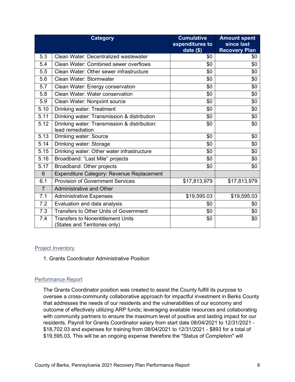|                | <b>Category</b>                                                           | <b>Cumulative</b><br>expenditures to<br>date $($)$ | <b>Amount spent</b><br>since last<br><b>Recovery Plan</b> |
|----------------|---------------------------------------------------------------------------|----------------------------------------------------|-----------------------------------------------------------|
| 5.3            | Clean Water: Decentralized wastewater                                     | \$0                                                | \$0                                                       |
| 5.4            | <b>Clean Water: Combined sewer overflows</b>                              | \$0                                                | \$0                                                       |
| 5.5            | Clean Water: Other sewer infrastructure                                   | \$0                                                | \$0                                                       |
| 5.6            | Clean Water: Stormwater                                                   | \$0                                                | \$0                                                       |
| 5.7            | Clean Water: Energy conservation                                          | \$0                                                | \$0                                                       |
| 5.8            | Clean Water: Water conservation                                           | \$0                                                | \$0                                                       |
| 5.9            | Clean Water: Nonpoint source                                              | \$0                                                | \$0                                                       |
| 5.10           | Drinking water: Treatment                                                 | \$0                                                | \$0                                                       |
| 5.11           | Drinking water: Transmission & distribution                               | \$0                                                | \$0                                                       |
| 5.12           | Drinking water: Transmission & distribution:<br>lead remediation          | \$0                                                | \$0                                                       |
| 5.13           | Drinking water: Source                                                    | \$0                                                | \$0                                                       |
| 5.14           | Drinking water: Storage                                                   | \$0                                                | \$0                                                       |
| 5.15           | Drinking water: Other water infrastructure                                | \$0                                                | \$0                                                       |
| 5.16           | Broadband: "Last Mile" projects                                           | \$0                                                | \$0                                                       |
| 5.17           | Broadband: Other projects                                                 | \$0                                                | \$0                                                       |
| 6              | Expenditure Category: Revenue Replacement                                 |                                                    |                                                           |
| 6.1            | <b>Provision of Government Services</b>                                   | \$17,813,979                                       | \$17,813,979                                              |
| $\overline{7}$ | <b>Administrative and Other</b>                                           |                                                    |                                                           |
| 7.1            | <b>Administrative Expenses</b>                                            | \$19,595.03                                        | \$19,595.03                                               |
| 7.2            | Evaluation and data analysis                                              | \$0                                                | \$0                                                       |
| 7.3            | <b>Transfers to Other Units of Government</b>                             | \$0                                                | \$0                                                       |
| 7.4            | <b>Transfers to Nonentitlement Units</b><br>(States and Territories only) | \$0                                                | \$0                                                       |

#### Project Inventory

1. Grants Coordinator Administrative Position

#### Performance Report

The Grants Coordinator position was created to assist the County fulfill its purpose to oversee a cross-community collaborative approach for impactful investment in Berks County that addresses the needs of our residents and the vulnerabilities of our economy and outcome of effectively utilizing ARP funds; leveraging available resources and collaborating with community partners to ensure the maximum level of positive and lasting impact for our residents. Payroll for Grants Coordinator salary from start date 08/04/2021 to 12/31/2021 - \$18,702.03 and expenses for training from 08/04/2021 to 12/31/2021 - \$893 for a total of \$19,595.03. This will be an ongoing expense therefore the "Status of Completion" will